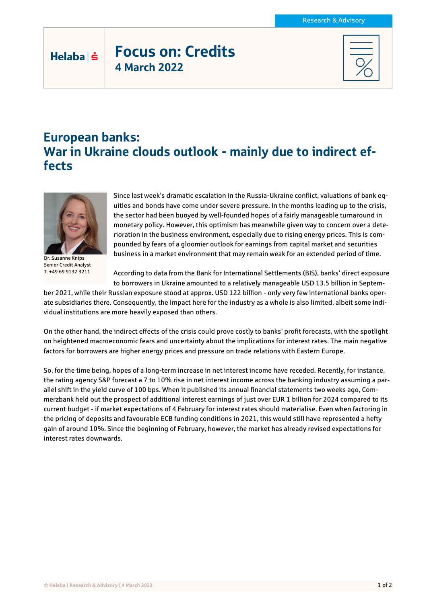## Focus on: Credits 4 March 2022

## European banks: War in Ukraine clouds outlook - mainly due to indirect effects



Helaba | s

Dr. Susanne Knips Senior Credit Analyst T. +49 69 9132 3211

Since last week's dramatic escalation in the Russia-Ukraine conflict, valuations of bank equities and bonds have come under severe pressure. In the months leading up to the crisis, the sector had been buoyed by well-founded hopes of a fairly manageable turnaround in monetary policy. However, this optimism has meanwhile given way to concern over a deterioration in the business environment, especially due to rising energy prices. This is compounded by fears of a gloomier outlook for earnings from capital market and securities business in a market environment that may remain weak for an extended period of time.

According to data from the Bank for International Settlements (BIS), banks' direct exposure to borrowers in Ukraine amounted to a relatively manageable USD 13.5 billion in Septem-

ber 2021, while their Russian exposure stood at approx. USD 122 billion - only very few international banks operate subsidiaries there. Consequently, the impact here for the industry as a whole is also limited, albeit some individual institutions are more heavily exposed than others.

On the other hand, the indirect effects of the crisis could prove costly to banks' profit forecasts, with the spotlight on heightened macroeconomic fears and uncertainty about the implications for interest rates. The main negative factors for borrowers are higher energy prices and pressure on trade relations with Eastern Europe.

So, for the time being, hopes of a long-term increase in net interest income have receded. Recently, for instance, the rating agency S&P forecast a 7 to 10% rise in net interest income across the banking industry assuming a parallel shift in the yield curve of 100 bps. When it published its annual financial statements two weeks ago, Commerzbank held out the prospect of additional interest earnings of just over EUR 1 billion for 2024 compared to its current budget - if market expectations of 4 February for interest rates should materialise. Even when factoring in the pricing of deposits and favourable ECB funding conditions in 2021, this would still have represented a hefty gain of around 10%. Since the beginning of February, however, the market has already revised expectations for interest rates downwards.